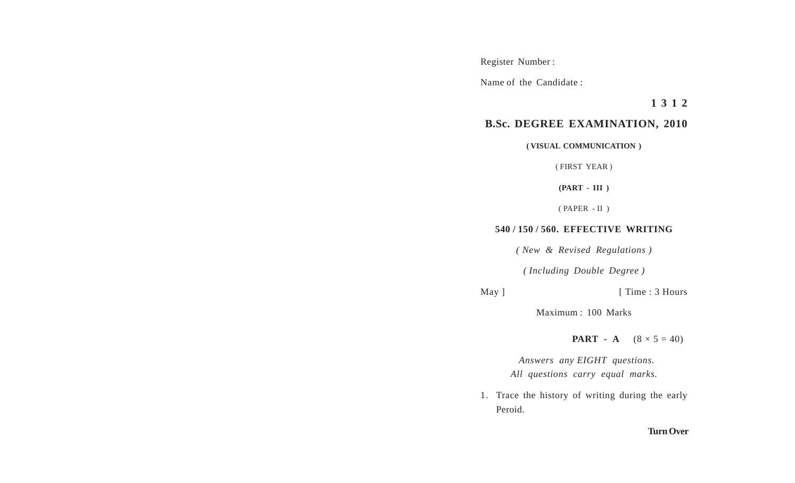Register Number :

Name of the Candidate :

**1 3 1 2**

## **B.Sc. DEGREE EXAMINATION, 2010**

**( VISUAL COMMUNICATION )**

( FIRST YEAR )

**(PART - III )**

( PAPER - II )

## **540 / 150 / 560. EFFECTIVE WRITING**

*( New & Revised Regulations )*

*( Including Double Degree )*

May ] [ Time : 3 Hours

Maximum : 100 Marks

**PART** - **A**  $(8 \times 5 = 40)$ 

 *Answers any EIGHT questions. All questions carry equal marks.*

1. Trace the history of writing during the early Peroid.

## **Turn Over**